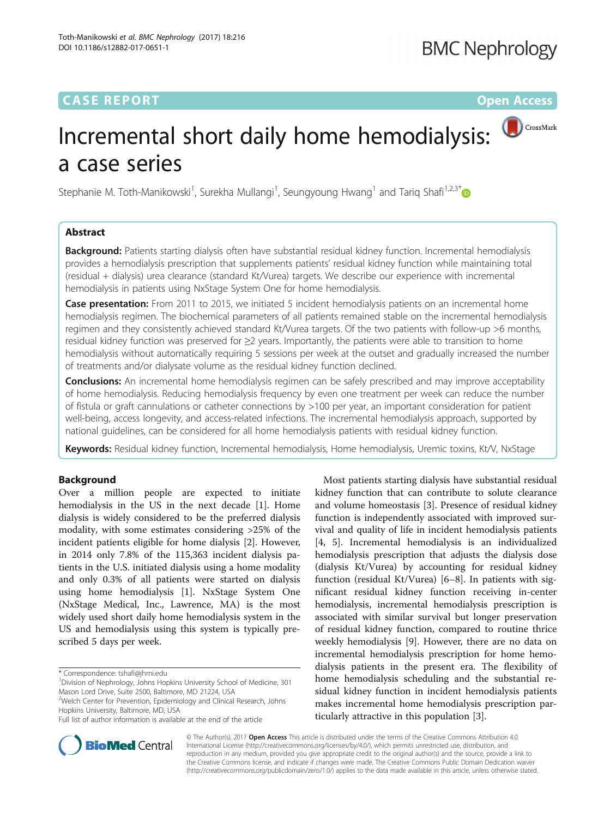## **CASE REPORT CASE REPORT CASE REPORT**

# Incremental short daily home hemodialysis: a case series

Stephanie M. Toth-Manikowski<sup>1</sup>, Surekha Mullangi<sup>1</sup>, Seungyoung Hwang<sup>1</sup> and Tariq Shafi<sup>1,2,3[\\*](http://orcid.org/0000-0002-7222-4666)</sup>

## Abstract

Background: Patients starting dialysis often have substantial residual kidney function. Incremental hemodialysis provides a hemodialysis prescription that supplements patients' residual kidney function while maintaining total (residual + dialysis) urea clearance (standard Kt/Vurea) targets. We describe our experience with incremental hemodialysis in patients using NxStage System One for home hemodialysis.

Case presentation: From 2011 to 2015, we initiated 5 incident hemodialysis patients on an incremental home hemodialysis regimen. The biochemical parameters of all patients remained stable on the incremental hemodialysis regimen and they consistently achieved standard Kt/Vurea targets. Of the two patients with follow-up >6 months, residual kidney function was preserved for ≥2 years. Importantly, the patients were able to transition to home hemodialysis without automatically requiring 5 sessions per week at the outset and gradually increased the number of treatments and/or dialysate volume as the residual kidney function declined.

**Conclusions:** An incremental home hemodialysis regimen can be safely prescribed and may improve acceptability of home hemodialysis. Reducing hemodialysis frequency by even one treatment per week can reduce the number of fistula or graft cannulations or catheter connections by >100 per year, an important consideration for patient well-being, access longevity, and access-related infections. The incremental hemodialysis approach, supported by national guidelines, can be considered for all home hemodialysis patients with residual kidney function.

Keywords: Residual kidney function, Incremental hemodialysis, Home hemodialysis, Uremic toxins, Kt/V, NxStage

## Background

Over a million people are expected to initiate hemodialysis in the US in the next decade [\[1](#page-5-0)]. Home dialysis is widely considered to be the preferred dialysis modality, with some estimates considering >25% of the incident patients eligible for home dialysis [[2\]](#page-5-0). However, in 2014 only 7.8% of the 115,363 incident dialysis patients in the U.S. initiated dialysis using a home modality and only 0.3% of all patients were started on dialysis using home hemodialysis [\[1](#page-5-0)]. NxStage System One (NxStage Medical, Inc., Lawrence, MA) is the most widely used short daily home hemodialysis system in the US and hemodialysis using this system is typically prescribed 5 days per week.





© The Author(s). 2017 **Open Access** This article is distributed under the terms of the Creative Commons Attribution 4.0 International License [\(http://creativecommons.org/licenses/by/4.0/](http://creativecommons.org/licenses/by/4.0/)), which permits unrestricted use, distribution, and reproduction in any medium, provided you give appropriate credit to the original author(s) and the source, provide a link to the Creative Commons license, and indicate if changes were made. The Creative Commons Public Domain Dedication waiver [\(http://creativecommons.org/publicdomain/zero/1.0/](http://creativecommons.org/publicdomain/zero/1.0/)) applies to the data made available in this article, unless otherwise stated.

<sup>\*</sup> Correspondence: [tshafi@jhmi.edu](mailto:tshafi@jhmi.edu) <sup>1</sup>

Division of Nephrology, Johns Hopkins University School of Medicine, 301 Mason Lord Drive, Suite 2500, Baltimore, MD 21224, USA

<sup>&</sup>lt;sup>2</sup>Welch Center for Prevention, Epidemiology and Clinical Research, Johns Hopkins University, Baltimore, MD, USA

Full list of author information is available at the end of the article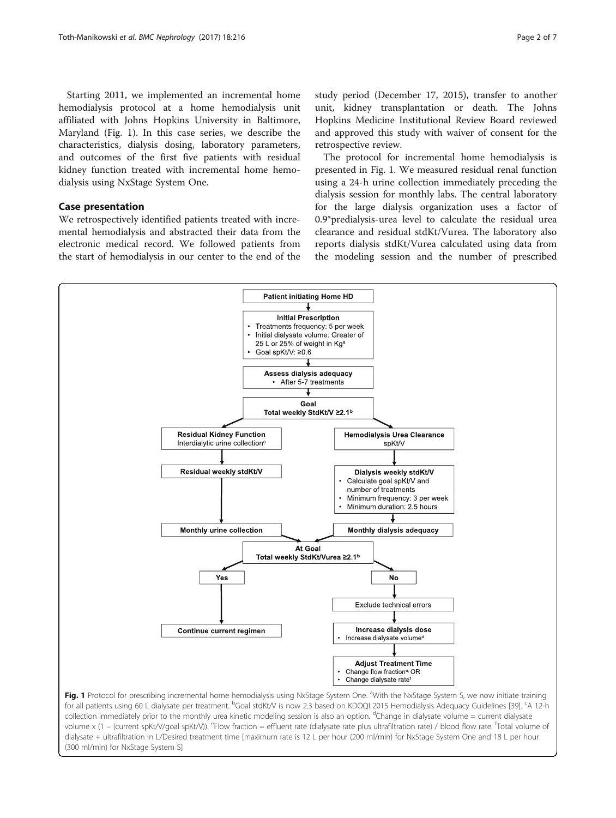Starting 2011, we implemented an incremental home hemodialysis protocol at a home hemodialysis unit affiliated with Johns Hopkins University in Baltimore, Maryland (Fig. 1). In this case series, we describe the characteristics, dialysis dosing, laboratory parameters, and outcomes of the first five patients with residual kidney function treated with incremental home hemodialysis using NxStage System One.

## Case presentation

We retrospectively identified patients treated with incremental hemodialysis and abstracted their data from the electronic medical record. We followed patients from the start of hemodialysis in our center to the end of the study period (December 17, 2015), transfer to another unit, kidney transplantation or death. The Johns Hopkins Medicine Institutional Review Board reviewed and approved this study with waiver of consent for the retrospective review.

The protocol for incremental home hemodialysis is presented in Fig. 1. We measured residual renal function using a 24-h urine collection immediately preceding the dialysis session for monthly labs. The central laboratory for the large dialysis organization uses a factor of 0.9\*predialysis-urea level to calculate the residual urea clearance and residual stdKt/Vurea. The laboratory also reports dialysis stdKt/Vurea calculated using data from the modeling session and the number of prescribed



collection immediately prior to the monthly urea kinetic modeling session is also an option. <sup>d</sup>Change in dialysate volume = current dialysate volume x (1 – (current spKt/V/goal spKt/V)). <sup>e</sup>Flow fraction = effluent rate (dialysate rate plus ultrafiltration rate) / blood flow rate. <sup>f</sup>Total volume of dialysate + ultrafiltration in L/Desired treatment time [maximum rate is 12 L per hour (200 ml/min) for NxStage System One and 18 L per hour (300 ml/min) for NxStage System S]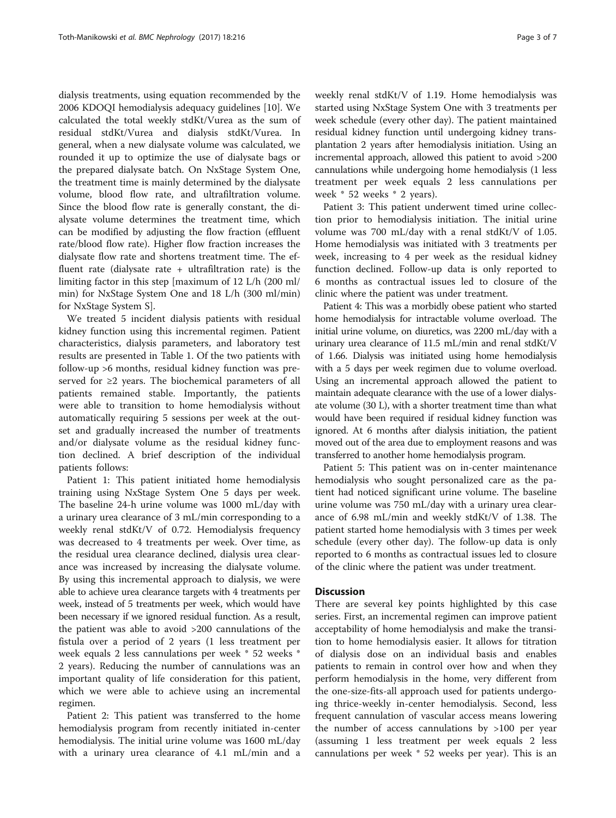dialysis treatments, using equation recommended by the 2006 KDOQI hemodialysis adequacy guidelines [[10\]](#page-5-0). We calculated the total weekly stdKt/Vurea as the sum of residual stdKt/Vurea and dialysis stdKt/Vurea. In general, when a new dialysate volume was calculated, we rounded it up to optimize the use of dialysate bags or the prepared dialysate batch. On NxStage System One, the treatment time is mainly determined by the dialysate volume, blood flow rate, and ultrafiltration volume. Since the blood flow rate is generally constant, the dialysate volume determines the treatment time, which can be modified by adjusting the flow fraction (effluent rate/blood flow rate). Higher flow fraction increases the dialysate flow rate and shortens treatment time. The effluent rate (dialysate rate  $+$  ultrafiltration rate) is the limiting factor in this step [maximum of 12 L/h (200 ml/ min) for NxStage System One and 18 L/h (300 ml/min) for NxStage System S].

We treated 5 incident dialysis patients with residual kidney function using this incremental regimen. Patient characteristics, dialysis parameters, and laboratory test results are presented in Table [1](#page-3-0). Of the two patients with follow-up >6 months, residual kidney function was preserved for  $\geq 2$  years. The biochemical parameters of all patients remained stable. Importantly, the patients were able to transition to home hemodialysis without automatically requiring 5 sessions per week at the outset and gradually increased the number of treatments and/or dialysate volume as the residual kidney function declined. A brief description of the individual patients follows:

Patient 1: This patient initiated home hemodialysis training using NxStage System One 5 days per week. The baseline 24-h urine volume was 1000 mL/day with a urinary urea clearance of 3 mL/min corresponding to a weekly renal stdKt/V of 0.72. Hemodialysis frequency was decreased to 4 treatments per week. Over time, as the residual urea clearance declined, dialysis urea clearance was increased by increasing the dialysate volume. By using this incremental approach to dialysis, we were able to achieve urea clearance targets with 4 treatments per week, instead of 5 treatments per week, which would have been necessary if we ignored residual function. As a result, the patient was able to avoid >200 cannulations of the fistula over a period of 2 years (1 less treatment per week equals 2 less cannulations per week \* 52 weeks \* 2 years). Reducing the number of cannulations was an important quality of life consideration for this patient, which we were able to achieve using an incremental regimen.

Patient 2: This patient was transferred to the home hemodialysis program from recently initiated in-center hemodialysis. The initial urine volume was 1600 mL/day with a urinary urea clearance of 4.1 mL/min and a weekly renal stdKt/V of 1.19. Home hemodialysis was started using NxStage System One with 3 treatments per week schedule (every other day). The patient maintained residual kidney function until undergoing kidney transplantation 2 years after hemodialysis initiation. Using an incremental approach, allowed this patient to avoid >200 cannulations while undergoing home hemodialysis (1 less treatment per week equals 2 less cannulations per week \* 52 weeks \* 2 years).

Patient 3: This patient underwent timed urine collection prior to hemodialysis initiation. The initial urine volume was 700 mL/day with a renal stdKt/V of 1.05. Home hemodialysis was initiated with 3 treatments per week, increasing to 4 per week as the residual kidney function declined. Follow-up data is only reported to 6 months as contractual issues led to closure of the clinic where the patient was under treatment.

Patient 4: This was a morbidly obese patient who started home hemodialysis for intractable volume overload. The initial urine volume, on diuretics, was 2200 mL/day with a urinary urea clearance of 11.5 mL/min and renal stdKt/V of 1.66. Dialysis was initiated using home hemodialysis with a 5 days per week regimen due to volume overload. Using an incremental approach allowed the patient to maintain adequate clearance with the use of a lower dialysate volume (30 L), with a shorter treatment time than what would have been required if residual kidney function was ignored. At 6 months after dialysis initiation, the patient moved out of the area due to employment reasons and was transferred to another home hemodialysis program.

Patient 5: This patient was on in-center maintenance hemodialysis who sought personalized care as the patient had noticed significant urine volume. The baseline urine volume was 750 mL/day with a urinary urea clearance of 6.98 mL/min and weekly stdKt/V of 1.38. The patient started home hemodialysis with 3 times per week schedule (every other day). The follow-up data is only reported to 6 months as contractual issues led to closure of the clinic where the patient was under treatment.

## **Discussion**

There are several key points highlighted by this case series. First, an incremental regimen can improve patient acceptability of home hemodialysis and make the transition to home hemodialysis easier. It allows for titration of dialysis dose on an individual basis and enables patients to remain in control over how and when they perform hemodialysis in the home, very different from the one-size-fits-all approach used for patients undergoing thrice-weekly in-center hemodialysis. Second, less frequent cannulation of vascular access means lowering the number of access cannulations by >100 per year (assuming 1 less treatment per week equals 2 less cannulations per week \* 52 weeks per year). This is an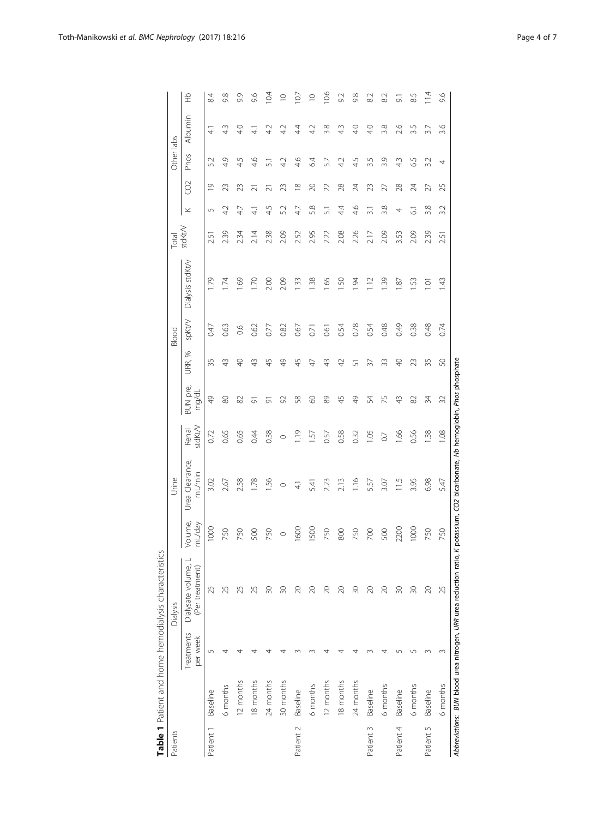<span id="page-3-0"></span>

|           |                 |                        | Table 1 Patient and home hemodialysis characteristics             |                   |                                                             |                  |                   |                |        |                  |                 |                  |          |            |               |             |
|-----------|-----------------|------------------------|-------------------------------------------------------------------|-------------------|-------------------------------------------------------------|------------------|-------------------|----------------|--------|------------------|-----------------|------------------|----------|------------|---------------|-------------|
| Patients  |                 |                        | Dialysis                                                          |                   | Urine                                                       |                  |                   |                | Blood  |                  | Total           |                  |          | Other labs |               |             |
|           |                 | Treatments<br>per week | Dialysate volume,<br>(Per treatment)                              | Volume,<br>mL/day | Urea Clearance,<br>mL/min                                   | stdkt/V<br>Renal | BUN pre,<br>mg/dL | URR, %         | spKt/V | Dialysis stdkt/v | $\text{stdKtV}$ | ×                | g        | Phos       | Albumin       | 웊           |
| Patient 1 | Baseline        | 5                      | 25                                                                | 1000              | 3.02                                                        | 0.72             | $\frac{1}{2}$     | 35             | 0.47   | 1.79             | 2.51            | $\sqrt{2}$       | ₾        | 5.2        | $\frac{1}{4}$ | 84          |
|           | 6 months        | ₹                      | 25                                                                | 750               | 2.67                                                        | 0.65             | 80                | $\frac{1}{4}$  | 0.63   | 74               | 2.39            | 42               | 23       | 49         | 43            | 9.8         |
|           | 12 months       |                        |                                                                   | 750               | 2.58                                                        | 0.65             | 82                | ¥              | 60     | 69               | 2.34            | 47               | 23       | 45         | 4.0           | 9.9         |
|           | 18 months       |                        |                                                                   | 500               | 1.78                                                        | 0.44             | 능                 | $\frac{1}{4}$  | 0.62   | $\overline{20}$  | 2.14            | $\frac{1}{4}$    | ಸ        | 4.6        | $\frac{1}{4}$ | 9.6         |
|           | 24 months       |                        | 20                                                                | 750               | 1.56                                                        | 0.38             | 능                 | 45             | 0.77   | 2.00             | 2.38            | 4.5              | ಸ        | 5          | 42            | 10.4        |
|           | 30 months       |                        | 20                                                                | $\circ$           | $\circ$                                                     | $\circ$          | 2                 | \$             | 0.82   | 2.09             | 2.09            | 5.2              | ನಿ       | 42         | 42            | $\supseteq$ |
| Patient 2 | Baseline        |                        | 20                                                                | 0091              | $\frac{4}{1}$                                               | 1.19             | 58                | 45             | 0.67   | 1.33             | 2.52            | 47               | $\infty$ | 4.6        | 44            | 10.7        |
|           | 6 months        |                        | 20                                                                | <b>SOO</b>        | 5.41                                                        | $-57$            | 8                 | $\overline{4}$ | 0.71   | 1.38             | 2.95            | 5.8              | 20       | 64         | 4.2           | $\supseteq$ |
|           | 12 months       |                        | 20                                                                | 750               | 2.23                                                        | 0.57             | 89                | $\frac{1}{4}$  | 0.61   | 1.65             | 2.22            | 51               | 22       | 57         | 3.8           | 10.6        |
|           | 18 months       |                        | 20                                                                | 800               | 2.13                                                        | 0.58             | 45                | $\varphi$      | 0.54   | SO.              | 2.08            | 44               | 28       | 42         | 43            | 9.2         |
|           | 24 months       |                        | $\overline{50}$                                                   | 750               | 1.16                                                        | 0.32             | $\frac{1}{2}$     | 5              | 0.78   | 1.94             | 2.26            | 4.6              | 24       | 45         | 4.0           | 9.8         |
| Patient 3 | Baseline        |                        | $\approx$                                                         | 200               | 5.57                                                        | 1.05             | 54                | ਨੇ             | 0.54   | $\approx$        | 2.17            | $\overline{3}$ . | ೫        | 3.5        | 4.0           | $\approx$   |
|           | 6 months        |                        | $\approx$                                                         | 500               | 3.07                                                        | $\overline{0}$   | 75                | 33             | 0.48   | 1.39             | 2.09            | 3.8              | 27       | 3.9        | 3.8           | 82          |
| Patient 4 | <b>Baseline</b> | س                      | $\approx$                                                         | 2200              | 11.5                                                        | 1.66             | 43                | ¥              | 0.49   | $\approx$        | 3.53            | 4                | 28       | 43         | 2.6           | 5           |
|           | 6 months        | 5                      | $\infty$                                                          | 1000              | 3.95                                                        | 0.56             | 82                | 23             | 0.38   | 53               | 2.09            | 5                | 24       | 65         | 3.5           | 8.5         |
| Patient 5 | Baseline        | 3                      | $\approx$                                                         | 750               | 6.98                                                        | 1.38             | 34                | 35             | 0.48   | $\bar{\Xi}$      | 2.39            | 3.8              | 27       | 3.2        | 3.7           | 11.4        |
|           | 6 months        |                        | 25                                                                | 750               | 5.47                                                        | 1.08             | 32                | S              | 0.74   | 143              | 2.51            | 3.2              | 25       | 4          | 3.6           | 9.6         |
|           |                 |                        | Abbreviations: BUN blood urea nitrogen, URR urea reduction ratio, |                   | K potassium, CO2 bicarbonate, Hb hemoglobin, Phos phosphate |                  |                   |                |        |                  |                 |                  |          |            |               |             |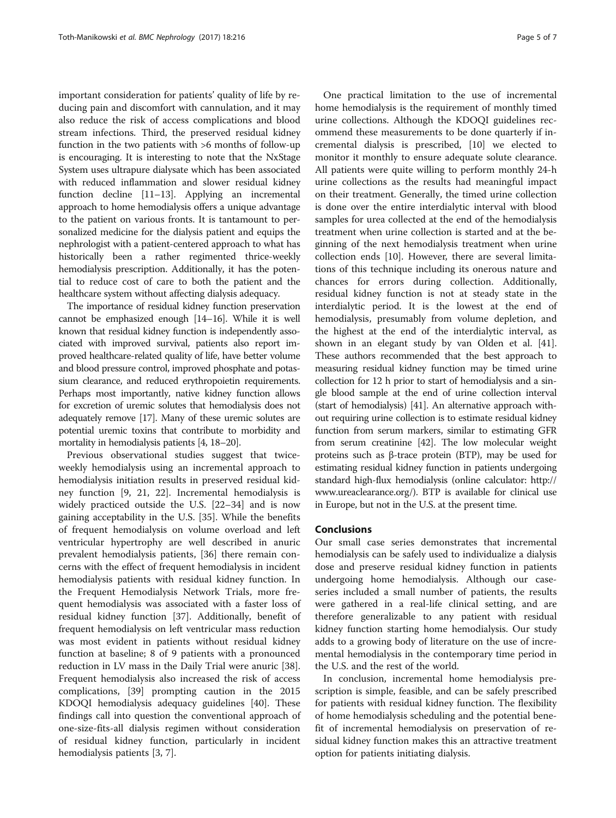important consideration for patients' quality of life by reducing pain and discomfort with cannulation, and it may also reduce the risk of access complications and blood stream infections. Third, the preserved residual kidney function in the two patients with >6 months of follow-up is encouraging. It is interesting to note that the NxStage System uses ultrapure dialysate which has been associated with reduced inflammation and slower residual kidney function decline [[11](#page-5-0)–[13\]](#page-5-0). Applying an incremental approach to home hemodialysis offers a unique advantage to the patient on various fronts. It is tantamount to personalized medicine for the dialysis patient and equips the nephrologist with a patient-centered approach to what has historically been a rather regimented thrice-weekly hemodialysis prescription. Additionally, it has the potential to reduce cost of care to both the patient and the healthcare system without affecting dialysis adequacy.

The importance of residual kidney function preservation cannot be emphasized enough [\[14](#page-5-0)–[16\]](#page-5-0). While it is well known that residual kidney function is independently associated with improved survival, patients also report improved healthcare-related quality of life, have better volume and blood pressure control, improved phosphate and potassium clearance, and reduced erythropoietin requirements. Perhaps most importantly, native kidney function allows for excretion of uremic solutes that hemodialysis does not adequately remove [[17](#page-5-0)]. Many of these uremic solutes are potential uremic toxins that contribute to morbidity and mortality in hemodialysis patients [\[4, 18](#page-5-0)–[20\]](#page-5-0).

Previous observational studies suggest that twiceweekly hemodialysis using an incremental approach to hemodialysis initiation results in preserved residual kidney function [[9, 21](#page-5-0), [22](#page-5-0)]. Incremental hemodialysis is widely practiced outside the U.S. [[22](#page-5-0)–[34](#page-6-0)] and is now gaining acceptability in the U.S. [\[35](#page-6-0)]. While the benefits of frequent hemodialysis on volume overload and left ventricular hypertrophy are well described in anuric prevalent hemodialysis patients, [[36\]](#page-6-0) there remain concerns with the effect of frequent hemodialysis in incident hemodialysis patients with residual kidney function. In the Frequent Hemodialysis Network Trials, more frequent hemodialysis was associated with a faster loss of residual kidney function [\[37\]](#page-6-0). Additionally, benefit of frequent hemodialysis on left ventricular mass reduction was most evident in patients without residual kidney function at baseline; 8 of 9 patients with a pronounced reduction in LV mass in the Daily Trial were anuric [\[38](#page-6-0)]. Frequent hemodialysis also increased the risk of access complications, [\[39](#page-6-0)] prompting caution in the 2015 KDOQI hemodialysis adequacy guidelines [\[40](#page-6-0)]. These findings call into question the conventional approach of one-size-fits-all dialysis regimen without consideration of residual kidney function, particularly in incident hemodialysis patients [\[3](#page-5-0), [7](#page-5-0)].

One practical limitation to the use of incremental home hemodialysis is the requirement of monthly timed urine collections. Although the KDOQI guidelines recommend these measurements to be done quarterly if incremental dialysis is prescribed, [[10](#page-5-0)] we elected to monitor it monthly to ensure adequate solute clearance. All patients were quite willing to perform monthly 24-h urine collections as the results had meaningful impact on their treatment. Generally, the timed urine collection is done over the entire interdialytic interval with blood samples for urea collected at the end of the hemodialysis treatment when urine collection is started and at the beginning of the next hemodialysis treatment when urine collection ends [\[10\]](#page-5-0). However, there are several limitations of this technique including its onerous nature and chances for errors during collection. Additionally, residual kidney function is not at steady state in the interdialytic period. It is the lowest at the end of hemodialysis, presumably from volume depletion, and the highest at the end of the interdialytic interval, as shown in an elegant study by van Olden et al. [\[41](#page-6-0)]. These authors recommended that the best approach to measuring residual kidney function may be timed urine collection for 12 h prior to start of hemodialysis and a single blood sample at the end of urine collection interval (start of hemodialysis) [[41](#page-6-0)]. An alternative approach without requiring urine collection is to estimate residual kidney function from serum markers, similar to estimating GFR from serum creatinine [[42](#page-6-0)]. The low molecular weight proteins such as β-trace protein (BTP), may be used for estimating residual kidney function in patients undergoing standard high-flux hemodialysis (online calculator: [http://](http://www.ureaclearance.org/) [www.ureaclearance.org/](http://www.ureaclearance.org/)). BTP is available for clinical use in Europe, but not in the U.S. at the present time.

## Conclusions

Our small case series demonstrates that incremental hemodialysis can be safely used to individualize a dialysis dose and preserve residual kidney function in patients undergoing home hemodialysis. Although our caseseries included a small number of patients, the results were gathered in a real-life clinical setting, and are therefore generalizable to any patient with residual kidney function starting home hemodialysis. Our study adds to a growing body of literature on the use of incremental hemodialysis in the contemporary time period in the U.S. and the rest of the world.

In conclusion, incremental home hemodialysis prescription is simple, feasible, and can be safely prescribed for patients with residual kidney function. The flexibility of home hemodialysis scheduling and the potential benefit of incremental hemodialysis on preservation of residual kidney function makes this an attractive treatment option for patients initiating dialysis.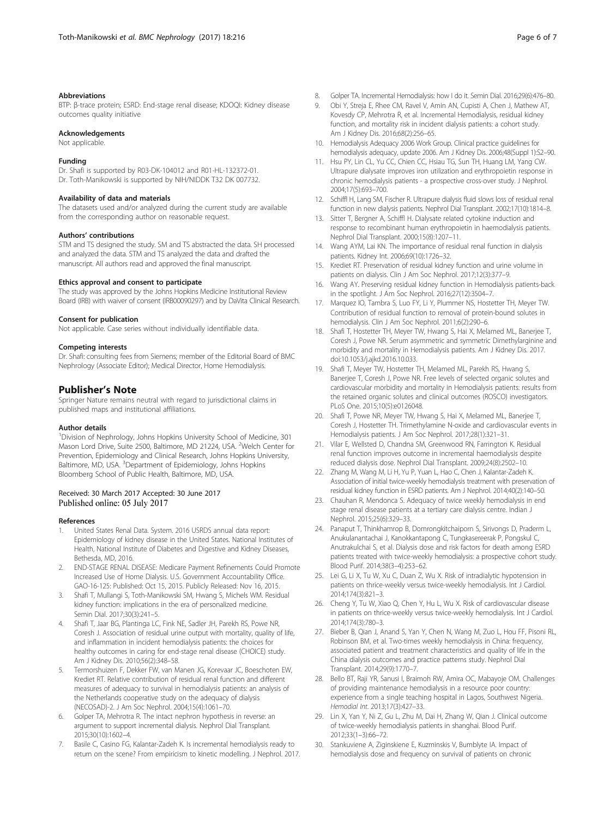#### <span id="page-5-0"></span>Abbreviations

BTP: β-trace protein; ESRD: End-stage renal disease; KDOQI: Kidney disease outcomes quality initiative

#### Acknowledgements

Not applicable.

#### Funding

Dr. Shafi is supported by R03-DK-104012 and R01-HL-132372-01. Dr. Toth-Manikowski is supported by NIH/NIDDK T32 DK 007732.

#### Availability of data and materials

The datasets used and/or analyzed during the current study are available from the corresponding author on reasonable request.

#### Authors' contributions

STM and TS designed the study. SM and TS abstracted the data. SH processed and analyzed the data. STM and TS analyzed the data and drafted the manuscript. All authors read and approved the final manuscript.

#### Ethics approval and consent to participate

The study was approved by the Johns Hopkins Medicine Institutional Review Board (IRB) with waiver of consent (IRB00090297) and by DaVita Clinical Research.

#### Consent for publication

Not applicable. Case series without individually identifiable data.

#### Competing interests

Dr. Shafi: consulting fees from Siemens; member of the Editorial Board of BMC Nephrology (Associate Editor); Medical Director, Home Hemodialysis.

#### Publisher's Note

Springer Nature remains neutral with regard to jurisdictional claims in published maps and institutional affiliations.

#### Author details

<sup>1</sup> Division of Nephrology, Johns Hopkins University School of Medicine, 301 Mason Lord Drive, Suite 2500, Baltimore, MD 21224, USA. <sup>2</sup>Welch Center for Prevention, Epidemiology and Clinical Research, Johns Hopkins University, Baltimore, MD, USA. <sup>3</sup>Department of Epidemiology, Johns Hopkins Bloomberg School of Public Health, Baltimore, MD, USA.

#### Received: 30 March 2017 Accepted: 30 June 2017 Published online: 05 July 2017

#### References

- 1. United States Renal Data. System. 2016 USRDS annual data report: Epidemiology of kidney disease in the United States. National Institutes of Health, National Institute of Diabetes and Digestive and Kidney Diseases, Bethesda, MD, 2016.
- 2. END-STAGE RENAL DISEASE: Medicare Payment Refinements Could Promote Increased Use of Home Dialysis. U.S. Government Accountability Office. GAO-16-125: Published: Oct 15, 2015. Publicly Released: Nov 16, 2015.
- 3. Shafi T, Mullangi S, Toth-Manikowski SM, Hwang S, Michels WM. Residual kidney function: implications in the era of personalized medicine. Semin Dial. 2017;30(3):241–5.
- 4. Shafi T, Jaar BG, Plantinga LC, Fink NE, Sadler JH, Parekh RS, Powe NR, Coresh J. Association of residual urine output with mortality, quality of life, and inflammation in incident hemodialysis patients: the choices for healthy outcomes in caring for end-stage renal disease (CHOICE) study. Am J Kidney Dis. 2010;56(2):348–58.
- 5. Termorshuizen F, Dekker FW, van Manen JG, Korevaar JC, Boeschoten EW, Krediet RT. Relative contribution of residual renal function and different measures of adequacy to survival in hemodialysis patients: an analysis of the Netherlands cooperative study on the adequacy of dialysis (NECOSAD)-2. J Am Soc Nephrol. 2004;15(4):1061–70.
- 6. Golper TA, Mehrotra R. The intact nephron hypothesis in reverse: an argument to support incremental dialysis. Nephrol Dial Transplant. 2015;30(10):1602–4.
- 7. Basile C, Casino FG, Kalantar-Zadeh K. Is incremental hemodialysis ready to return on the scene? From empiricism to kinetic modelling. J Nephrol. 2017.
- 8. Golper TA. Incremental Hemodialysis: how I do it. Semin Dial. 2016;29(6):476–80.
- 9. Obi Y, Streja E, Rhee CM, Ravel V, Amin AN, Cupisti A, Chen J, Mathew AT, Kovesdy CP, Mehrotra R, et al. Incremental Hemodialysis, residual kidney function, and mortality risk in incident dialysis patients: a cohort study. Am J Kidney Dis. 2016;68(2):256–65.
- 10. Hemodialysis Adequacy 2006 Work Group. Clinical practice guidelines for hemodialysis adequacy, update 2006. Am J Kidney Dis. 2006;48(Suppl 1):S2–90.
- 11. Hsu PY, Lin CL, Yu CC, Chien CC, Hsiau TG, Sun TH, Huang LM, Yang CW. Ultrapure dialysate improves iron utilization and erythropoietin response in chronic hemodialysis patients - a prospective cross-over study. J Nephrol. 2004;17(5):693–700.
- 12. Schiffl H, Lang SM, Fischer R. Ultrapure dialysis fluid slows loss of residual renal function in new dialysis patients. Nephrol Dial Transplant. 2002;17(10):1814–8.
- 13. Sitter T, Bergner A, Schiffl H. Dialysate related cytokine induction and response to recombinant human erythropoietin in haemodialysis patients. Nephrol Dial Transplant. 2000;15(8):1207–11.
- 14. Wang AYM, Lai KN. The importance of residual renal function in dialysis patients. Kidney Int. 2006;69(10):1726–32.
- 15. Krediet RT. Preservation of residual kidney function and urine volume in patients on dialysis. Clin J Am Soc Nephrol. 2017;12(3):377–9.
- 16. Wang AY. Preserving residual kidney function in Hemodialysis patients-back in the spotlight. J Am Soc Nephrol. 2016;27(12):3504–7.
- 17. Marquez IO, Tambra S, Luo FY, Li Y, Plummer NS, Hostetter TH, Meyer TW. Contribution of residual function to removal of protein-bound solutes in hemodialysis. Clin J Am Soc Nephrol. 2011;6(2):290–6.
- 18. Shafi T, Hostetter TH, Meyer TW, Hwang S, Hai X, Melamed ML, Banerjee T, Coresh J, Powe NR. Serum asymmetric and symmetric Dimethylarginine and morbidity and mortality in Hemodialysis patients. Am J Kidney Dis. 2017. doi[:10.1053/j.ajkd.2016.10.033.](http://dx.doi.org/10.1053/j.ajkd.2016.10.033)
- 19. Shafi T, Meyer TW, Hostetter TH, Melamed ML, Parekh RS, Hwang S, Banerjee T, Coresh J, Powe NR. Free levels of selected organic solutes and cardiovascular morbidity and mortality in Hemodialysis patients: results from the retained organic solutes and clinical outcomes (ROSCO) investigators. PLoS One. 2015;10(5):e0126048.
- 20. Shafi T, Powe NR, Meyer TW, Hwang S, Hai X, Melamed ML, Banerjee T, Coresh J, Hostetter TH. Trimethylamine N-oxide and cardiovascular events in Hemodialysis patients. J Am Soc Nephrol. 2017;28(1):321–31.
- 21. Vilar E, Wellsted D, Chandna SM, Greenwood RN, Farrington K. Residual renal function improves outcome in incremental haemodialysis despite reduced dialysis dose. Nephrol Dial Transplant. 2009;24(8):2502–10.
- 22. Zhang M, Wang M, Li H, Yu P, Yuan L, Hao C, Chen J, Kalantar-Zadeh K. Association of initial twice-weekly hemodialysis treatment with preservation of residual kidney function in ESRD patients. Am J Nephrol. 2014;40(2):140–50.
- 23. Chauhan R, Mendonca S. Adequacy of twice weekly hemodialysis in end stage renal disease patients at a tertiary care dialysis centre. Indian J Nephrol. 2015;25(6):329–33.
- 24. Panaput T, Thinkhamrop B, Domrongkitchaiporn S, Sirivongs D, Praderm L, Anukulanantachai J, Kanokkantapong C, Tungkasereerak P, Pongskul C, Anutrakulchai S, et al. Dialysis dose and risk factors for death among ESRD patients treated with twice-weekly hemodialysis: a prospective cohort study. Blood Purif. 2014;38(3–4):253–62.
- 25. Lei G, Li X, Tu W, Xu C, Duan Z, Wu X. Risk of intradialytic hypotension in patients on thrice-weekly versus twice-weekly hemodialysis. Int J Cardiol. 2014;174(3):821–3.
- 26. Cheng Y, Tu W, Xiao Q, Chen Y, Hu L, Wu X. Risk of cardiovascular disease in patients on thrice-weekly versus twice-weekly hemodialysis. Int J Cardiol. 2014;174(3):780–3.
- 27. Bieber B, Qian J, Anand S, Yan Y, Chen N, Wang M, Zuo L, Hou FF, Pisoni RL, Robinson BM, et al. Two-times weekly hemodialysis in China: frequency, associated patient and treatment characteristics and quality of life in the China dialysis outcomes and practice patterns study. Nephrol Dial Transplant. 2014;29(9):1770–7.
- 28. Bello BT, Raji YR, Sanusi I, Braimoh RW, Amira OC, Mabayoje OM. Challenges of providing maintenance hemodialysis in a resource poor country: experience from a single teaching hospital in Lagos, Southwest Nigeria. Hemodial Int. 2013;17(3):427–33.
- 29. Lin X, Yan Y, Ni Z, Gu L, Zhu M, Dai H, Zhang W, Qian J. Clinical outcome of twice-weekly hemodialysis patients in shanghai. Blood Purif. 2012;33(1–3):66–72.
- 30. Stankuviene A, Ziginskiene E, Kuzminskis V, Bumblyte IA. Impact of hemodialysis dose and frequency on survival of patients on chronic